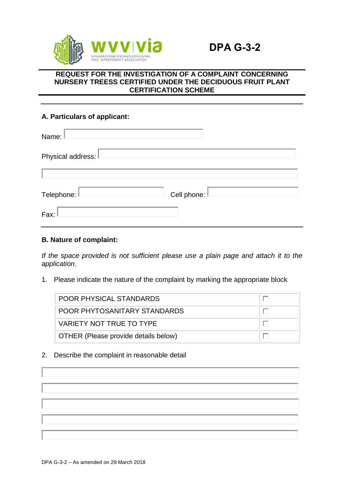

## **REQUEST FOR THE INVESTIGATION OF A COMPLAINT CONCERNING NURSERY TREESS CERTIFIED UNDER THE DECIDUOUS FRUIT PLANT CERTIFICATION SCHEME**

# **A. Particulars of applicant:**

| Name:               |             |
|---------------------|-------------|
| Physical address: I |             |
|                     |             |
| Telephone:          | Cell phone: |
| Fax:                |             |

## **B. Nature of complaint:**

*If the space provided is not sufficient please use a plain page and attach it to the application.*

1. Please indicate the nature of the complaint by marking the appropriate block

| <b>POOR PHYSICAL STANDARDS</b>       |  |
|--------------------------------------|--|
| POOR PHYTOSANITARY STANDARDS         |  |
| VARIETY NOT TRUE TO TYPE             |  |
| OTHER (Please provide details below) |  |

2. Describe the complaint in reasonable detail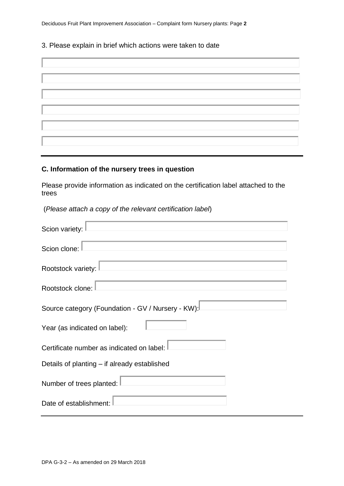Deciduous Fruit Plant Improvement Association – Complaint form Nursery plants: Page **2**

#### 3. Please explain in brief which actions were taken to date

# **C. Information of the nursery trees in question**

Please provide information as indicated on the certification label attached to the trees

(*Please attach a copy of the relevant certification label*)

| Scion variety:                                    |  |  |  |
|---------------------------------------------------|--|--|--|
| Scion clone:                                      |  |  |  |
| Rootstock variety:                                |  |  |  |
| Rootstock clone:                                  |  |  |  |
| Source category (Foundation - GV / Nursery - KW): |  |  |  |
| Year (as indicated on label):                     |  |  |  |
| Certificate number as indicated on label:         |  |  |  |
| Details of planting – if already established      |  |  |  |
| Number of trees planted:                          |  |  |  |
| Date of establishment:                            |  |  |  |